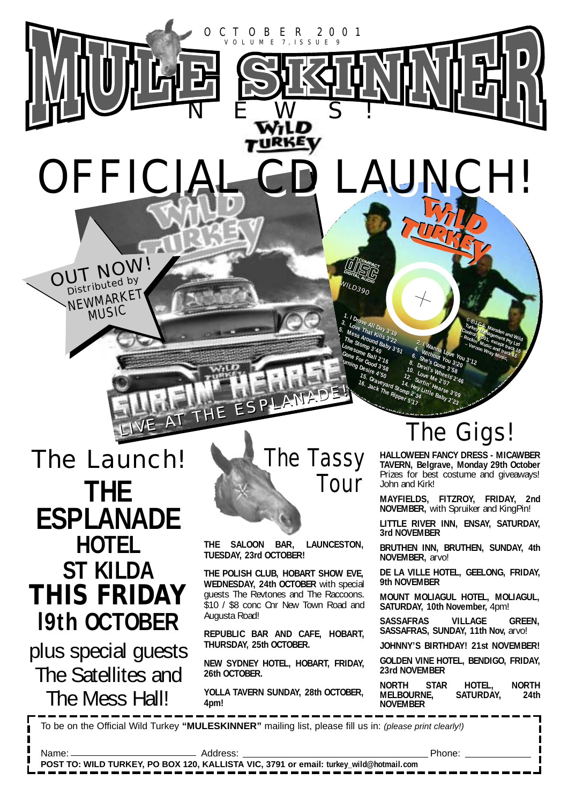

OFFICIA!

OUT NOW

NEWMARKET

plus special guests The Satellites and The Mess Hall!



**G , P U B LIC P E R F O R**

•

**B** 

**MA N C E O R**

**B**

The Storming Desire 4.360<br>
Lones ome Bally 2.76<br>
Lones Bally 2.76<br>
Come For Good 3.460<br>
In Thing Desire 4.360<br>
Is. Graveyard s.

<sup>13.</sup> June For Good 3'16<br>Iming Desire 3'56<br>15. C 4'50

<sup>112</sup> Juming Desire 4'50

 $W_{I\!I\!I\!D390}$ 

**1.** *I* **Drove All Day 3'19<br>Love That King 3'19**<br>Mess a hat King 3'19

**1. I Drove All Day** 

5. Mess Around Baby 3'19<br>The Stomp d Baby 3'22<br>Lonesome 3'40<br>Lonesome 3'40

5. Mess Around Baby 3'19<br>The Storing Baby 3'22<br>Lonesomnp 3'40<br>Mesomnp 3'40

**3.** Love All Day 3'19<br> **3.** Love All Day 3'19<br>
The Stomp 3'40 3'22<br>
Lone Some Ball 2'351<br>
Cone For Ball 2'16<br>
Cone For Storm 4'2"<br>
Urning Decord 3'5, and Benit Cone 3'20<br>
Urning Decord 3'5, and Denit Cone 3'20

**3.** Love All Day 3'19<br>
Mess That Kills 3'22<br>
The Storound Baby 3'23<br>
Lonesomp 3'40<br>
Come Ball 3'23<br>
The Grown 2'76<br>
The Stress Condition<br>
White Grown 2'76<br>
All the Stress Condition

**7. The Stomp 3'40 8. Devil's Wheels 2'46 1.** Concession Baby 3's<sub>1</sub><br>
Concessing 3'40<br>
Conce Ball 2'16 10. University of the Concession Ball 2'16<br>
"
Uning Desire 4'50 10. Love Mheel,<br>
15. Love Me 2'07<br>
16. Love Me 2'07<br>
16. Love Me 2'07<br>
16. Love Me 2'07 Cone Ball 2'16 3'40 <sup>-1</sup> 3'51 <sup>3</sup>. Without Love No.<br>
Gone Ball 2'16 6 She's Gone 3'58<br>
Unning Destre 4'58 10. Love Me 3'58<br>
15. Grave Jara 14. Hey Lint Hears 2'4,<br>
16. Jack The Rippon, 2'34 Little Baby<br> **16.** Jack The Ripp

The State What Baby 3'22<br>
Lones formp 3'40 8'3'22<br>
Cones formp 3'40 8'3'51<br>
Gene Ball 2'16<br>
Whiling Devil's Apple 3'58<br>
Who are the Store Me 2'07<br>
The Cone Me 2'07<br>
The Call Store Me 2'07<br>
The Call Store Me 2'07<br>
The Call Cone Ball 2'16<br>
Cone Ball 2'16<br>
Cone For Good 3'58<br>
Uming Desire 4'58 10 Units When 3'28<br>
15. Graveyard Stop 14. Hey lin Hears<br>
16. Jack The Rippine 2'34 Little Balls, 3'09<br>
The Rippine 2'34 Little Balls, 3'09<br>
The Rippine

15. Graveyard 12. Sur<br>16. Graveyard 14. Hey<br>34. Grack The Ripper 2<sup>1</sup> 16. Jack The Ripper 5'17

15. Story 12. Story 12. Story<br>16. Graveyard Stomp 2: Story<br>34. Stomp 2: 34. Stomp 2: 34.<br>34. Stoppen 2: 34. 16. Jack The Ripper 5'17

•

**R**<sub>I</sub><sup>C</sup> **M E**<sub>C</sub><br> **C**<sub>Onescome B <sup>24</sup><sub>O</sub><br>
Come B alta 2 <sup>7</sup>16<br>
Come For Good 3 580<br>
In this Graveyard<br>
Is Graveyard<br>
It Jack The Ri</sub>

OCTOBER 2001 VOLUME 7, ISSUE 9

NEWS!

**THE SALOON BAR, LAUNCESTON, TUESDAY, 23rd OCTOBER!**

**THE POLISH CLUB, HOBART SHOW EVE, WEDNESDAY, 24th OCTOBER** with special guests The Revtones and The Raccoons. \$10 / \$8 conc Cnr New Town Road and Augusta Road!

**REPUBLIC BAR AND CAFE, HOBART, THURSDAY, 25th OCTOBER.**

**NEW SYDNEY HOTEL, HOBART, FRIDAY, 26th OCTOBER.**

**YOLLA TAVERN SUNDAY, 28th OCTOBER, 4pm!**

## The Gigs! **<sup>E</sup> <sup>R</sup> <sup>E</sup><sup>S</sup> E <sup>V</sup> <sup>R</sup> <sup>H</sup><sup>T</sup> <sup>U</sup> <sup>A</sup> <sup>N</sup><sup>U</sup> . <sup>D</sup> E**

2. I Wanna Love You<br>L. Without You You 3'72<br>She's Gon- <sup>21</sup>20 <sup>3'72</sup>

2. I Wanna Love You 3'12<br>**1. Without You 3'0u 3'12**<br>She's Gor Ou 3'20 <sup>3'12</sup>

 **6. She's Gone 3'58** 

**6.** She's Gone 3'58<br>*Devil's Gone 3'58*<br>*pevil's Whe* 3'58

**1<sub>4. He</sub>yrtin<sub>' He</sub>arse<br>Imp 2'34<br>er 5'17<br><sup>er 5'17</sup>** 

**14. Hey Little Baby 2'23**<br>Pmp 2'34 ttle Baby 2'23<br>Pr 5'17

**<sup>O</sup><sup>R</sup> K**

**<sup>R</sup> <sup>E</sup> <sup>C</sup> <sup>O</sup> <sup>R</sup> <sup>D</sup> <sup>E</sup> <sup>D</sup> <sup>W</sup><sup>O</sup> <sup>R</sup> K**

<sup>©</sup> *Q.L.C.S. Marsden and Wild*<br>Turkey Managemen and Wild<br><sup>Ockin: 2001, ev. emt Ph. Wild</sup> Turkey S. Marsden<br><sup>Dhi</sup>rol) Management Pty Wil<br>Rockin 2001, except Pty Ltd<br>- Ver- Music <sup>Rec</sup>ept tr<sup>o</sup>l Ltd Control) Managsden and Wild<br>- Rockin<sup>, 2001, except track Wild<br>- Rockin<sup>, Music except</sup> track 15<br>- Vernon Wrand track 15</sup> **– Rockin' Music and track 16 – Vernon Wray Music,**

<sup>©</sup> <sup>Q</sup> J.C.S. Marsden<br>Turkey Mahagenden and Wild<br>PCki., <sup>200</sup>1.<br><sup>OCki.,</sub> 2001.</sup> Turkey Managen and William<br>Control) Management Pty Ltd<br>- Rockin Music Scept try Ltd<br>- Vernon Wra and track 15<br>Memon Wra and track 15 And the Music and track in the Music and track in the Music and track in the Music and track in the Music and tra<br>Hernon Wisid and track in the Music and track in the Music and track in the Music and track in the Music and **– Vernon Wray Music,**

> **E E**

**<sup>A</sup> <sup>L</sup><sup>L</sup> <sup>R</sup> <sup>I</sup> <sup>G</sup> <sup>H</sup> <sup>T</sup> <sup>S</sup>**

• **<sup>I</sup>S<sup>C</sup> <sup>P</sup> <sup>R</sup>OH<sup>I</sup> <sup>I</sup>TD.**

**BAWA** 

**O <sup>F</sup> H**  $\mathcal{F}$ 

**MA N U F A C T U**

**N ACRA NTH**

**O F T H E**

**F T HE**

**WN ER**

**R E R A N D T H E OWN ER**

**HALLOWEEN FANCY DRESS - MICAWBER TAVERN, Belgrave, Monday 29th October** Prizes for best costume and giveaways! John and Kirk!

**MAYFIELDS, FITZROY, FRIDAY, 2nd NOVEMBER,** with Spruiker and KingPin!

**LITTLE RIVER INN, ENSAY, SATURDAY, 3rd NOVEMBER**

**BRUTHEN INN, BRUTHEN, SUNDAY, 4th NOVEMBER,** arvo!

**DE LA VILLE HOTEL, GEELONG, FRIDAY, 9th NOVEMBER**

**MOUNT MOLIAGUL HOTEL, MOLIAGUL, SATURDAY, 10th November,** 4pm!

**SASSAFRAS VILLAGE GREEN, SASSAFRAS, SUNDAY, 11th Nov,** arvo!

**JOHNNY'S BIRTHDAY! 21st NOVEMBER!**

**GOLDEN VINE HOTEL, BENDIGO, FRIDAY, 23rd NOVEMBER** 

**NORTH STAR HOTEL, NORTH MELBOURNE, SATURDAY, 24th NOVEMBER**

To be on the Official Wild Turkey **"MULESKINNER"** mailing list, please fill us in: (please print clearly!)

Name: Address: Phone:

**POST TO: WILD TURKEY, PO BOX 120, KALLISTA VIC, 3791 or email: turkey\_wild@hotmail.com**